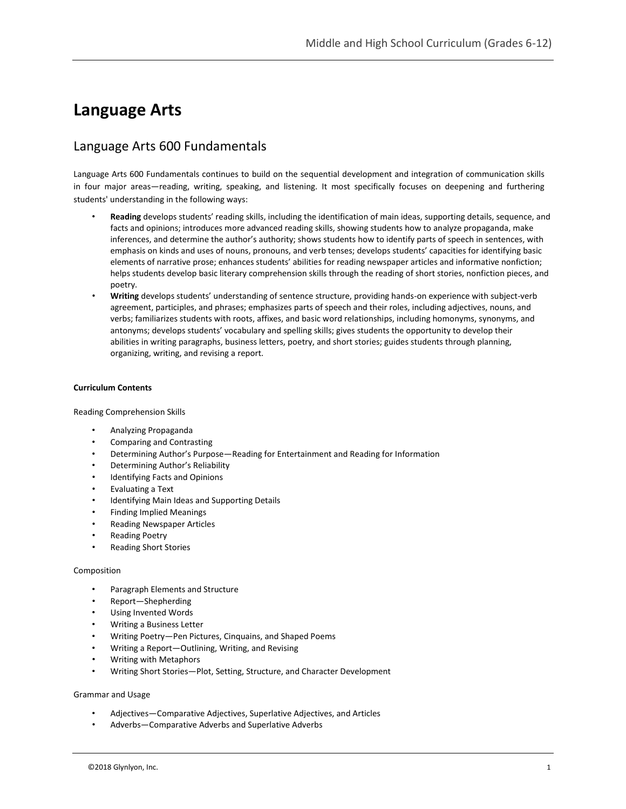# **Language Arts**

# Language Arts 600 Fundamentals

Language Arts 600 Fundamentals continues to build on the sequential development and integration of communication skills in four major areas—reading, writing, speaking, and listening. It most specifically focuses on deepening and furthering students' understanding in the following ways:

- **Reading** develops students' reading skills, including the identification of main ideas, supporting details, sequence, and facts and opinions; introduces more advanced reading skills, showing students how to analyze propaganda, make inferences, and determine the author's authority; shows students how to identify parts of speech in sentences, with emphasis on kinds and uses of nouns, pronouns, and verb tenses; develops students' capacities for identifying basic elements of narrative prose; enhances students' abilities for reading newspaper articles and informative nonfiction; helps students develop basic literary comprehension skills through the reading of short stories, nonfiction pieces, and poetry.
- **Writing** develops students' understanding of sentence structure, providing hands-on experience with subject-verb agreement, participles, and phrases; emphasizes parts of speech and their roles, including adjectives, nouns, and verbs; familiarizes students with roots, affixes, and basic word relationships, including homonyms, synonyms, and antonyms; develops students' vocabulary and spelling skills; gives students the opportunity to develop their abilities in writing paragraphs, business letters, poetry, and short stories; guides students through planning, organizing, writing, and revising a report.

#### **Curriculum Contents**

Reading Comprehension Skills

- Analyzing Propaganda
- Comparing and Contrasting
- Determining Author's Purpose—Reading for Entertainment and Reading for Information
- Determining Author's Reliability
- Identifying Facts and Opinions
- Evaluating a Text
- Identifying Main Ideas and Supporting Details
- Finding Implied Meanings
- Reading Newspaper Articles
- Reading Poetry
- Reading Short Stories

#### Composition

- Paragraph Elements and Structure
- Report—Shepherding
- Using Invented Words
- Writing a Business Letter
- Writing Poetry—Pen Pictures, Cinquains, and Shaped Poems
- Writing a Report—Outlining, Writing, and Revising
- Writing with Metaphors
- Writing Short Stories—Plot, Setting, Structure, and Character Development

#### Grammar and Usage

- Adjectives—Comparative Adjectives, Superlative Adjectives, and Articles
- Adverbs—Comparative Adverbs and Superlative Adverbs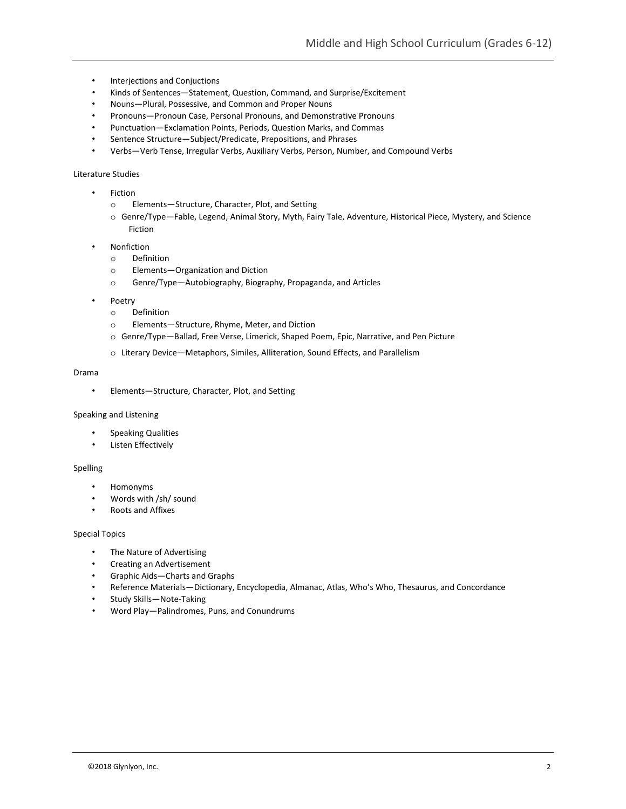- Interjections and Conjuctions
- Kinds of Sentences—Statement, Question, Command, and Surprise/Excitement
- Nouns—Plural, Possessive, and Common and Proper Nouns
- Pronouns—Pronoun Case, Personal Pronouns, and Demonstrative Pronouns
- Punctuation—Exclamation Points, Periods, Question Marks, and Commas
- Sentence Structure—Subject/Predicate, Prepositions, and Phrases
- Verbs—Verb Tense, Irregular Verbs, Auxiliary Verbs, Person, Number, and Compound Verbs

#### Literature Studies

- Fiction
	- o Elements—Structure, Character, Plot, and Setting
	- o Genre/Type—Fable, Legend, Animal Story, Myth, Fairy Tale, Adventure, Historical Piece, Mystery, and Science Fiction
- **Nonfiction** 
	- o Definition
	- o Elements—Organization and Diction
	- o Genre/Type—Autobiography, Biography, Propaganda, and Articles
- Poetry
	- o Definition
	- o Elements—Structure, Rhyme, Meter, and Diction
	- o Genre/Type—Ballad, Free Verse, Limerick, Shaped Poem, Epic, Narrative, and Pen Picture
	- o Literary Device—Metaphors, Similes, Alliteration, Sound Effects, and Parallelism

#### Drama

• Elements—Structure, Character, Plot, and Setting

#### Speaking and Listening

- Speaking Qualities
- Listen Effectively

#### Spelling

- Homonyms
- Words with /sh/ sound
- Roots and Affixes

#### Special Topics

- The Nature of Advertising
- Creating an Advertisement
- Graphic Aids—Charts and Graphs
- Reference Materials—Dictionary, Encyclopedia, Almanac, Atlas, Who's Who, Thesaurus, and Concordance
- Study Skills—Note-Taking
- Word Play—Palindromes, Puns, and Conundrums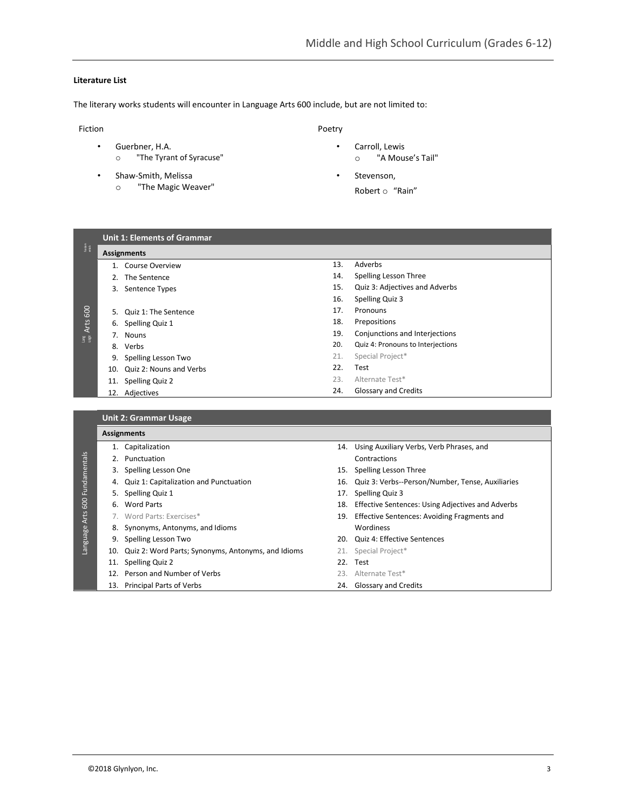## **Literature List**

The literary works students will encounter in Language Arts 600 include, but are not limited to:

#### Fiction

- Guerbner, H.A.
	- o "The Tyrant of Syracuse"
- Shaw-Smith, Melissa o "The Magic Weaver"
- Poetry
	- Carroll, Lewis o "A Mouse's Tail"
	- Stevenson, Robert o "Rain"

| Fundan<br>entais | <b>Unit 1: Elements of Grammar</b><br>Assignments |     |                                   |  |
|------------------|---------------------------------------------------|-----|-----------------------------------|--|
|                  | <b>Course Overview</b>                            | 13. | Adverbs                           |  |
|                  | The Sentence<br>2.                                | 14. | Spelling Lesson Three             |  |
|                  | Sentence Types<br>3.                              | 15. | Quiz 3: Adjectives and Adverbs    |  |
|                  |                                                   | 16. | Spelling Quiz 3                   |  |
| 600              | 5.<br>Quiz 1: The Sentence                        | 17. | Pronouns                          |  |
|                  | Spelling Quiz 1<br>6.                             | 18. | Prepositions                      |  |
| Arts             | 7.<br><b>Nouns</b>                                | 19. | Conjunctions and Interjections    |  |
| ang<br>Bi        | Verbs<br>8.                                       | 20. | Quiz 4: Pronouns to Interjections |  |
|                  | Spelling Lesson Two<br>9.                         | 21. | Special Project*                  |  |
|                  | Quiz 2: Nouns and Verbs<br>10.                    | 22. | Test                              |  |
|                  | Spelling Quiz 2<br>11.                            | 23. | Alternate Test*                   |  |
|                  | Adjectives<br>12.                                 | 24. | Glossary and Credits              |  |
|                  |                                                   |     |                                   |  |

|                      |     | <b>Unit 2: Grammar Usage</b>                           |  |                                                       |  |  |  |  |
|----------------------|-----|--------------------------------------------------------|--|-------------------------------------------------------|--|--|--|--|
|                      |     | <b>Assignments</b>                                     |  |                                                       |  |  |  |  |
|                      |     | 1. Capitalization                                      |  | 14. Using Auxiliary Verbs, Verb Phrases, and          |  |  |  |  |
|                      |     | 2. Punctuation                                         |  | Contractions                                          |  |  |  |  |
|                      | 3.  | Spelling Lesson One                                    |  | 15. Spelling Lesson Three                             |  |  |  |  |
| Fundamentals         |     | 4. Quiz 1: Capitalization and Punctuation              |  | 16. Quiz 3: Verbs--Person/Number, Tense, Auxiliaries  |  |  |  |  |
| 600<br>Language Arts | 5.  | Spelling Quiz 1                                        |  | 17. Spelling Quiz 3                                   |  |  |  |  |
|                      |     | 6. Word Parts                                          |  | 18. Effective Sentences: Using Adjectives and Adverbs |  |  |  |  |
|                      |     | 7. Word Parts: Exercises*                              |  | 19. Effective Sentences: Avoiding Fragments and       |  |  |  |  |
|                      |     | 8. Synonyms, Antonyms, and Idioms                      |  | Wordiness                                             |  |  |  |  |
|                      | 9.  | Spelling Lesson Two                                    |  | 20. Quiz 4: Effective Sentences                       |  |  |  |  |
|                      |     | 10. Quiz 2: Word Parts; Synonyms, Antonyms, and Idioms |  | 21. Special Project*                                  |  |  |  |  |
|                      |     | 11. Spelling Quiz 2                                    |  | 22. Test                                              |  |  |  |  |
|                      | 12. | Person and Number of Verbs                             |  | 23. Alternate Test*                                   |  |  |  |  |
|                      |     | 13. Principal Parts of Verbs                           |  | 24. Glossary and Credits                              |  |  |  |  |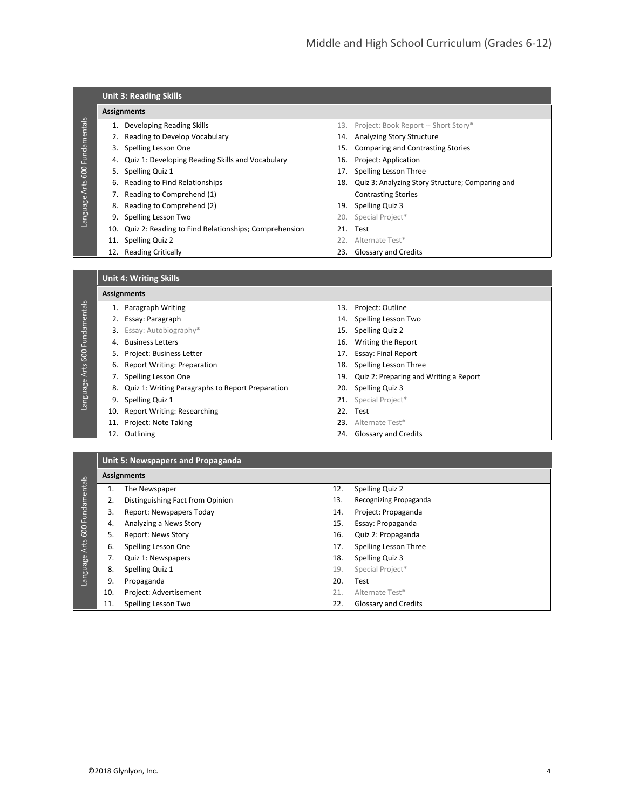|              |     | <b>Unit 3: Reading Skills</b>                        |     |                                                  |
|--------------|-----|------------------------------------------------------|-----|--------------------------------------------------|
|              |     | <b>Assignments</b>                                   |     |                                                  |
| Fundamentals |     | Developing Reading Skills                            |     | 13. Project: Book Report -- Short Story*         |
|              |     | 2. Reading to Develop Vocabulary                     | 14. | Analyzing Story Structure                        |
|              | 3.  | Spelling Lesson One                                  | 15. | Comparing and Contrasting Stories                |
|              | 4.  | Quiz 1: Developing Reading Skills and Vocabulary     | 16. | Project: Application                             |
| 600          | 5.  | Spelling Quiz 1                                      | 17. | Spelling Lesson Three                            |
| Arts         | 6.  | Reading to Find Relationships                        | 18. | Quiz 3: Analyzing Story Structure; Comparing and |
|              |     | 7. Reading to Comprehend (1)                         |     | <b>Contrasting Stories</b>                       |
|              | 8.  | Reading to Comprehend (2)                            | 19. | Spelling Quiz 3                                  |
| Language     | 9.  | Spelling Lesson Two                                  | 20. | Special Project*                                 |
|              | 10. | Quiz 2: Reading to Find Relationships; Comprehension | 21. | Test                                             |
|              | 11. | Spelling Quiz 2                                      |     | 22. Alternate Test*                              |
|              | 12. | <b>Reading Critically</b>                            | 23. | Glossary and Credits                             |
|              |     |                                                      |     |                                                  |

## **Unit 4: Writing Skills**

# **Assignments** 1. Paragraph Writing 13. Project: Outline

| Fundamentals  |     | 1. Paragraph Writing                                |     | 13. Project: Outline                   |
|---------------|-----|-----------------------------------------------------|-----|----------------------------------------|
|               |     | 2. Essay: Paragraph                                 |     | 14. Spelling Lesson Two                |
|               |     | 3. Essay: Autobiography*                            | 15. | Spelling Quiz 2                        |
|               | 4.  | <b>Business Letters</b>                             |     | 16. Writing the Report                 |
| 600           |     | 5. Project: Business Letter                         |     | 17. Essay: Final Report                |
|               |     | 6. Report Writing: Preparation                      |     | 18. Spelling Lesson Three              |
|               |     | Spelling Lesson One                                 | 19. | Quiz 2: Preparing and Writing a Report |
| Language Arts |     | 8. Quiz 1: Writing Paragraphs to Report Preparation | 20. | <b>Spelling Quiz 3</b>                 |
|               | 9.  | Spelling Quiz 1                                     |     | 21. Special Project*                   |
|               |     | 10. Report Writing: Researching                     |     | 22. Test                               |
|               | 11. | Project: Note Taking                                |     | 23. Alternate Test*                    |
|               | 12. | Outlining                                           |     | 24. Glossary and Credits               |
|               |     |                                                     |     |                                        |
|               |     |                                                     |     |                                        |

## **Unit 5: Newspapers and Propaganda**

|                  |     | <b>Assignments</b>               |     |                             |
|------------------|-----|----------------------------------|-----|-----------------------------|
| 600 Fundamentals |     | The Newspaper                    | 12. | Spelling Quiz 2             |
|                  | 2.  | Distinguishing Fact from Opinion | 13. | Recognizing Propaganda      |
|                  | 3.  | Report: Newspapers Today         | 14. | Project: Propaganda         |
|                  | 4.  | Analyzing a News Story           | 15. | Essay: Propaganda           |
|                  | 5.  | <b>Report: News Story</b>        | 16. | Quiz 2: Propaganda          |
| Arts             | 6.  | Spelling Lesson One              | 17. | Spelling Lesson Three       |
|                  |     | Quiz 1: Newspapers               | 18. | Spelling Quiz 3             |
| Language         | 8.  | Spelling Quiz 1                  | 19. | Special Project*            |
|                  | 9.  | Propaganda                       | 20. | Test                        |
|                  | 10. | Project: Advertisement           | 21. | Alternate Test*             |
|                  | 11  | Spelling Lesson Two              | 22. | <b>Glossary and Credits</b> |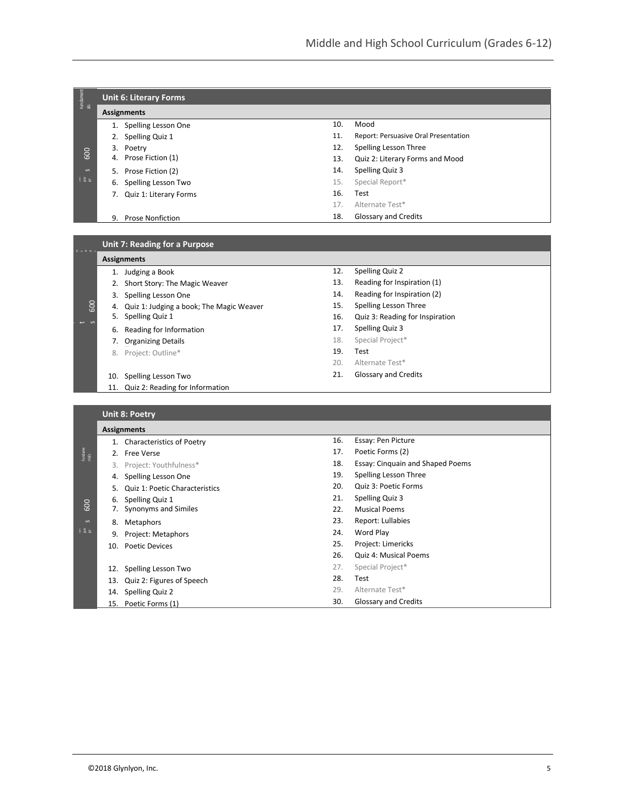| Fundament<br>als             |    | <b>Unit 6: Literary Forms</b> |     |                                      |
|------------------------------|----|-------------------------------|-----|--------------------------------------|
|                              |    | <b>Assignments</b>            |     |                                      |
|                              |    | Spelling Lesson One           | 10. | Mood                                 |
|                              | 2. | Spelling Quiz 1               | 11. | Report: Persuasive Oral Presentation |
|                              |    | 3. Poetry                     | 12. | Spelling Lesson Three                |
| 600                          |    | 4. Prose Fiction (1)          | 13. | Quiz 2: Literary Forms and Mood      |
| $\sim$                       |    | 5. Prose Fiction (2)          | 14. | Spelling Quiz 3                      |
| $\frac{1}{2}$ $\frac{8}{26}$ | 6. | Spelling Lesson Two           | 15. | Special Report*                      |
|                              | 7. | Quiz 1: Literary Forms        | 16. | Test                                 |
|                              |    |                               | 17. | Alternate Test*                      |
|                              | 9. | <b>Prose Nonfiction</b>       | 18. | <b>Glossary and Credits</b>          |

|                  |     | Unit 7: Reading for a Purpose            |     |                                  |
|------------------|-----|------------------------------------------|-----|----------------------------------|
|                  |     | <b>Assignments</b>                       |     |                                  |
|                  |     | 1. Judging a Book                        | 12. | Spelling Quiz 2                  |
|                  | 2.  | Short Story: The Magic Weaver            | 13. | Reading for Inspiration (1)      |
|                  | 3.  | Spelling Lesson One                      | 14. | Reading for Inspiration (2)      |
| 600              | 4.  | Quiz 1: Judging a book; The Magic Weaver | 15. | Spelling Lesson Three            |
|                  | 5.  | Spelling Quiz 1                          | 16. | Quiz 3: Reading for Inspiration  |
|                  | 6.  | Reading for Information                  | 17. | Spelling Quiz 3                  |
|                  | 7.  | <b>Organizing Details</b>                | 18. | Special Project*                 |
|                  |     | 8. Project: Outline*                     | 19. | Test                             |
|                  |     |                                          | 20. | Alternate Test*                  |
|                  |     | 10. Spelling Lesson Two                  | 21. | <b>Glossary and Credits</b>      |
|                  |     | 11. Quiz 2: Reading for Information      |     |                                  |
|                  |     |                                          |     |                                  |
|                  |     | <b>Unit 8: Poetry</b>                    |     |                                  |
|                  |     | <b>Assignments</b>                       |     |                                  |
|                  |     | 1. Characteristics of Poetry             | 16. | Essay: Pen Picture               |
| Fundame<br>ntals |     | 2. Free Verse                            | 17. | Poetic Forms (2)                 |
|                  | 3.  | Project: Youthfulness*                   | 18. | Essay: Cinquain and Shaped Poems |
|                  | 4.  | Spelling Lesson One                      | 19. | Spelling Lesson Three            |
|                  | 5.  | Quiz 1: Poetic Characteristics           | 20. | Quiz 3: Poetic Forms             |
|                  | 6.  | Spelling Quiz 1                          | 21. | Spelling Quiz 3                  |
| 600              | 7.  | Synonyms and Similes                     | 22. | <b>Musical Poems</b>             |
| $\mathsf{S}$     | 8.  | Metaphors                                | 23. | Report: Lullabies                |
| 1.38             | 9.  | Project: Metaphors                       | 24. | Word Play                        |
|                  | 10. | <b>Poetic Devices</b>                    | 25. | Project: Limericks               |
|                  |     |                                          | 26. | Quiz 4: Musical Poems            |
|                  |     | 12. Spelling Lesson Two                  | 27. | Special Project*                 |
|                  |     | 13. Quiz 2: Figures of Speech            | 28. | Test                             |
|                  |     | 14. Spelling Quiz 2                      | 29. | Alternate Test*                  |

30. Glossary and Credits

15. Poetic Forms (1)